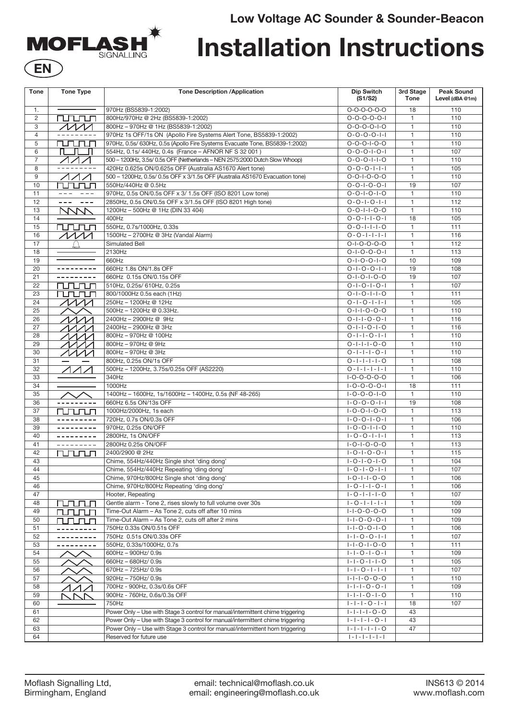# **Low Voltage AC Sounder & Sounder-Beacon**



# **Installation Instructions**

| <b>Tone</b>    | <b>Tone Type</b>                            | <b>Tone Description /Application</b>                                                                              | <b>Dip Switch</b><br>(S1/S2)                         | 3rd Stage<br><b>Tone</b>     | <b>Peak Sound</b><br>Level (dBA @1m) |
|----------------|---------------------------------------------|-------------------------------------------------------------------------------------------------------------------|------------------------------------------------------|------------------------------|--------------------------------------|
| 1.             |                                             | 970Hz (BS5839-1:2002)                                                                                             | $O-O-O-O-O-O$                                        | 18                           | 110                                  |
| 2              | rurun                                       | 800Hz/970Hz @ 2Hz (BS5839-1:2002)                                                                                 | $0 - 0 - 0 - 0 - 1$                                  | $\mathbf{1}$                 | 110                                  |
| 3              | $\overline{\wedge\wedge\wedge\wedge\wedge}$ | 800Hz - 970Hz @ 1Hz (BS5839-1:2002)                                                                               | $0 - 0 - 0 - 0 - 1 - 0$                              | $\mathbf{1}$                 | 110                                  |
| $\overline{4}$ |                                             | 970Hz 1s OFF/1s ON (Apollo Fire Systems Alert Tone, BS5839-1:2002)                                                | $0 - 0 - 0 - 0 - 1 - 1$                              | $\mathbf{1}$                 | 110                                  |
| 5              | <u>nnnn</u>                                 | 970Hz, 0.5s/ 630Hz, 0.5s (Apollo Fire Systems Evacuate Tone, BS5839-1:2002)                                       | $0 - 0 - 0 - 1 - 0 - 0$                              | $\mathbf{1}$                 | 110                                  |
| 6              |                                             | 554Hz, 0.1s/ 440Hz, 0.4s (France - AFNOR NF S 32 001)                                                             | $0 - 0 - 0 - 1 - 0 - 1$                              | $\mathbf{1}$                 | 107                                  |
| $\overline{7}$ | $\wedge\wedge\wedge$                        | 500 - 1200Hz, 3.5s/ 0.5s OFF (Netherlands - NEN 2575:2000 Dutch Slow Whoop)                                       | $0 - 0 - 0 - 1 - 1 - 0$                              | $\mathbf{1}$                 | 110                                  |
| 8              | ---------                                   | 420Hz 0.625s ON/0.625s OFF (Australia AS1670 Alert tone)                                                          | $0 - 0 - 0 - 1 - 1 - 1$                              | $\mathbf{1}$                 | 105                                  |
| 9              | $\sqrt{111}$                                | 500 - 1200Hz, 0.5s/ 0.5s OFF x 3/1.5s OFF (Australia AS1670 Evacuation tone)                                      | $0 - 0 - 1 - 0 - 0 - 0$                              | $\mathbf{1}$                 | 110                                  |
| 10             | runun                                       | 550Hz/440Hz @ 0.5Hz                                                                                               | $0 - 0 - 1 - 0 - 0 - 1$                              | 19                           | 107                                  |
| 11             | $- - -$                                     | 970Hz, 0.5s ON/0.5s OFF x 3/ 1.5s OFF (ISO 8201 Low tone)                                                         | $0 - 0 - 1 - 0 - 1 - 0$                              | $\mathbf{1}$                 | 110                                  |
| 12             | $\sim$ $ \sim$<br>---                       | 2850Hz, 0.5s ON/0.5s OFF x 3/1.5s OFF (ISO 8201 High tone)                                                        | $0 - 0 - 1 - 0 - 1 - 1$                              | $\mathbf{1}$                 | 112                                  |
| 13             | <b>NVVV</b>                                 | 1200Hz - 500Hz @ 1Hz (DIN 33 404)                                                                                 | $0 - 0 - 1 - 1 - 0 - 0$                              | $\mathbf{1}$                 | 110                                  |
| 14             |                                             | 400Hz                                                                                                             | $0 - 0 - 1 - 1 - 0 - 1$                              | 18                           | 105                                  |
| 15             | rurun                                       | 550Hz, 0.7s/1000Hz, 0.33s                                                                                         | $0 - 0 - 1 - 1 - 1 - 0$                              | $\mathbf{1}$                 | 111                                  |
| 16             | $\sqrt{M}$                                  | 1500Hz - 2700Hz @ 3Hz (Vandal Alarm)                                                                              | $0 - 0 - 1 - 1 - 1 - 1$                              | $\mathbf{1}$                 | 116                                  |
| 17             |                                             | Simulated Bell                                                                                                    | $0 - 1 - 0 - 0 - 0 - 0$                              | $\mathbf{1}$                 | 112                                  |
| 18             |                                             | 2130Hz                                                                                                            | $0 - 1 - 0 - 0 - 0 - 1$                              | $\mathbf{1}$                 | 113                                  |
| 19             | ---------                                   | 660Hz                                                                                                             | $0 - 1 - 0 - 0 - 1 - 0$                              | 10                           | 109                                  |
| 20             | ---------                                   | 660Hz 1.8s ON/1.8s OFF                                                                                            | $0 - 1 - 0 - 0 - 1 - 1$                              | 19                           | 108                                  |
| 21             |                                             | 660Hz 0.15s ON/0.15s OFF<br>510Hz, 0.25s/ 610Hz, 0.25s                                                            | $0 - 1 - 0 - 1 - 0 - 0$<br>$0 - 1 - 0 - 1 - 0 - 1$   | 19<br>$\mathbf{1}$           | 107<br>107                           |
| 22<br>23       | rurun<br><u>runun </u>                      | 800/1000Hz 0.5s each (1Hz)                                                                                        | $0 - 1 - 0 - 1 - 1 - 0$                              | $\mathbf{1}$                 | 111                                  |
|                |                                             | 250Hz - 1200Hz @ 12Hz                                                                                             | $0 - 1 - 0 - 1 - 1 - 1$                              |                              |                                      |
| 24<br>25       | $\cal{M}$                                   |                                                                                                                   | $0 - 1 - 1 - 0 - 0 - 0$                              | $\mathbf{1}$<br>$\mathbf{1}$ | 105<br>110                           |
| 26             |                                             | 500Hz - 1200Hz @ 0.33Hz.<br>2400Hz - 2900Hz @ 9Hz                                                                 | $0 - 1 - 1 - 0 - 0 - 1$                              | $\mathbf{1}$                 | 116                                  |
| 27             | $\Lambda\Lambda\Lambda$                     | 2400Hz - 2900Hz @ 3Hz                                                                                             | $0 - 1 - 1 - 0 - 1 - 0$                              | $\mathbf{1}$                 | 116                                  |
| 28             | $\Lambda\Lambda\Lambda\Lambda$<br>ヘヘヘ/      | 800Hz-970Hz @ 100Hz                                                                                               | $0 - 1 - 1 - 0 - 1 - 1$                              | $\mathbf{1}$                 | 110                                  |
| 29             | $\cal{M} \cal{N}$                           | 800Hz - 970Hz @ 9Hz                                                                                               | $0 - 1 - 1 - 1 - 0 - 0$                              | $\mathbf{1}$                 | 110                                  |
| 30             | $\Lambda\Lambda\Lambda\Lambda$              | 800Hz - 970Hz @ 3Hz                                                                                               | $0 - 1 - 1 - 1 - 0 - 1$                              | $\mathbf{1}$                 | 110                                  |
| 31             |                                             | 800Hz, 0.25s ON/1s OFF                                                                                            | $0 - 1 - 1 - 1 - 0$                                  | $\mathbf{1}$                 | 108                                  |
| 32             | イイイ                                         | 500Hz - 1200Hz, 3.75s/0.25s OFF (AS2220)                                                                          | $0 - 1 - 1 - 1 - 1 - 1$                              | $\mathbf{1}$                 | 110                                  |
| 33             |                                             | 340Hz                                                                                                             | $I-O-O-O-O-O$                                        | $\mathbf{1}$                 | 106                                  |
| 34             |                                             | 1000Hz                                                                                                            | $1 - 0 - 0 - 0 - 1$                                  | 18                           | 111                                  |
| 35             |                                             | 1400Hz - 1600Hz, 1s/1600Hz - 1400Hz, 0.5s (NF 48-265)                                                             | $I - O - O - I - O$                                  | $\mathbf{1}$                 | 110                                  |
| 36             |                                             | 660Hz 6.5s ON/13s OFF                                                                                             | $1 - 0 - 0 - 0 - 1 - 1$                              | 19                           | 108                                  |
| 37             | runun m                                     | 1000Hz/2000Hz, 1s each                                                                                            | $I - O - O - I - O - O$                              | $\mathbf{1}$                 | 113                                  |
| 38             |                                             | 720Hz, 0.7s ON/0.3s OFF                                                                                           | $1 - 0 - 0 - 1 - 0 - 1$                              | $\mathbf{1}$                 | 106                                  |
| 39             |                                             | 970Hz, 0.25s ON/OFF                                                                                               | $1 - 0 - 0 - 1 - 1 - 0$                              | $\mathbf{1}$                 | 110                                  |
| 40             | ---------                                   | 2800Hz, 1s ON/OFF                                                                                                 | $1 - 0 - 0 - 1 - 1 - 1$                              | $\mathbf{1}$                 | 113                                  |
| 41             | ---------                                   | 2800Hz 0.25s ON/OFF                                                                                               | $1 - 0 - 1 - 0 - 0 - 0$                              | $\mathbf{1}$                 | 113                                  |
| 42             | rurun                                       | 2400/2900 @ 2Hz                                                                                                   | $1 - 0 - 1 - 0 - 0 - 1$                              | $\mathbf{1}$                 | 115                                  |
| 43             |                                             | Chime, 554Hz/440Hz Single shot 'ding dong'                                                                        | $1 - 0 - 1 - 0 - 1 - 0$                              | $\mathbf{1}$                 | 104                                  |
| 44             |                                             | Chime, 554Hz/440Hz Repeating 'ding dong                                                                           | $1 - 0 - 1 - 0 - 1 - 1$                              | $\mathbf{1}$                 | 107                                  |
| 45             |                                             | Chime, 970Hz/800Hz Single shot 'ding dong'                                                                        | $I - O - I - I - O - O$                              | 1                            | 106                                  |
| 46             |                                             | Chime, 970Hz/800Hz Repeating 'ding dong'                                                                          | $1 - 0 - 1 - 1 - 0 - 1$                              | $\mathbf{1}$                 | 106                                  |
| 47             |                                             | Hooter, Repeating                                                                                                 | $1 - 0 - 1 - 1 - 1 - 0$                              | $\mathbf{1}$                 | 107                                  |
| 48             | rurun                                       | Gentle alarm - Tone 2, rises slowly to full volume over 30s<br>Time-Out Alarm - As Tone 2, cuts off after 10 mins | $1 - 0 - 1 - 1 - 1 - 1$                              | $\mathbf{1}$                 | 109                                  |
| 49<br>50       | nnnn                                        | Time-Out Alarm - As Tone 2, cuts off after 2 mins                                                                 | $1 - 1 - 0 - 0 - 0 - 0$<br>$1 - 1 - 0 - 0 - 0 - 1$   | $\mathbf{1}$<br>$\mathbf{1}$ | 109<br>109                           |
| 51             | 00 Q Q                                      | 750Hz 0.33s ON/0.51s OFF                                                                                          | $1 - 1 - 0 - 0 - 1 - 0$                              | $\mathbf{1}$                 | 106                                  |
| 52             |                                             | 750Hz 0.51s ON/0.33s OFF                                                                                          | $1 - 1 - 0 - 0 - 1 - 1$                              | $\mathbf{1}$                 | 107                                  |
| 53             |                                             | 550Hz, 0.33s/1000Hz, 0.7s                                                                                         | $ - -0- -0-0$                                        | $\mathbf{1}$                 | 111                                  |
| 54             |                                             | 600Hz - 900Hz/ 0.9s                                                                                               | $1 - 1 - 0 - 1 - 0 - 1$                              | $\mathbf{1}$                 | 109                                  |
| 55             |                                             | 660Hz - 680Hz/ 0.9s                                                                                               | $1 - 1 - 0 - 1 - 1 - 0$                              | $\mathbf{1}$                 | 105                                  |
| 56             |                                             | 670Hz - 725Hz/ 0.9s                                                                                               | $ - -0- - - $                                        | $\mathbf{1}$                 | 107                                  |
| 57             |                                             | 920Hz - 750Hz/ 0.9s                                                                                               | $1 - 1 - 1 - 0 - 0 - 0$                              | $\mathbf{1}$                 | 110                                  |
| 58             |                                             | 700Hz - 900Hz, 0.3s/0.6s OFF                                                                                      | $1 - 1 - 1 - 0 - 0 - 1$                              | $\mathbf{1}$                 | 109                                  |
| 59             | Nr                                          | 900Hz - 760Hz, 0.6s/0.3s OFF                                                                                      | $1 - 1 - 1 - 0 - 1 - 0$                              | $\mathbf{1}$                 | 110                                  |
| 60             |                                             | 750Hz                                                                                                             | $1 - 1 - 1 - 0 - 1 - 1$                              | 18                           | 107                                  |
| 61             |                                             | Power Only - Use with Stage 3 control for manual/intermittent chime triggering                                    | $1 - 1 - 1 - 1 - 0 - 0$                              | 43                           |                                      |
| 62             |                                             | Power Only - Use with Stage 3 control for manual/intermittent chime triggering                                    | $1 - 1 - 1 - 1 - 0 - 1$                              | 43                           |                                      |
| 63             |                                             | Power Only - Use with Stage 3 control for manual/intermittent horn triggering                                     | $\  - \  - \  - \  - \  - O$                         | 47                           |                                      |
| 64             |                                             | Reserved for future use                                                                                           | $\ \cdot\  \cdot \ \cdot\  \cdot \ \cdot\  \cdot \ $ |                              |                                      |